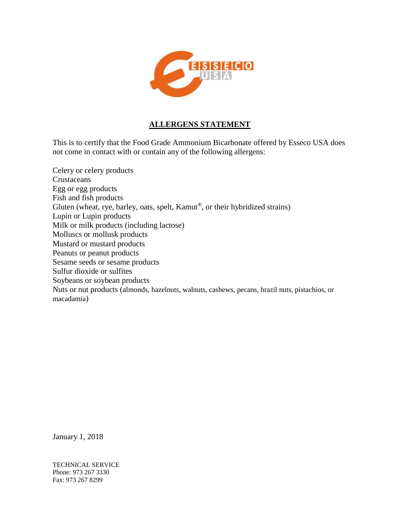

### **ALLERGENS STATEMENT**

This is to certify that the Food Grade Ammonium Bicarbonate offered by Esseco USA does not come in contact with or contain any of the following allergens:

Celery or celery products Crustaceans Egg or egg products Fish and fish products Gluten (wheat, rye, barley, oats, spelt, Kamut®, or their hybridized strains) Lupin or Lupin products Milk or milk products (including lactose) Molluscs or mollusk products Mustard or mustard products Peanuts or peanut products Sesame seeds or sesame products Sulfur dioxide or sulfites Soybeans or soybean products Nuts or nut products (almonds, hazelnuts, walnuts, cashews, pecans, brazil nuts, pistachios, or macadamia)

January 1, 2018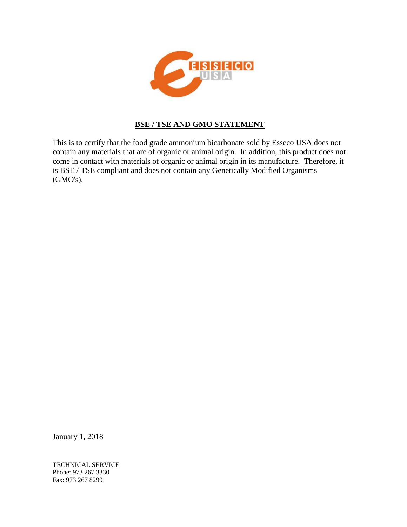

### **BSE / TSE AND GMO STATEMENT**

This is to certify that the food grade ammonium bicarbonate sold by Esseco USA does not contain any materials that are of organic or animal origin. In addition, this product does not come in contact with materials of organic or animal origin in its manufacture. Therefore, it is BSE / TSE compliant and does not contain any Genetically Modified Organisms (GMO's).

January 1, 2018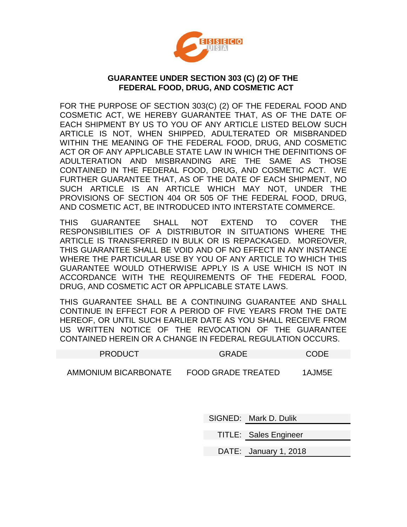

### **GUARANTEE UNDER SECTION 303 (C) (2) OF THE FEDERAL FOOD, DRUG, AND COSMETIC ACT**

FOR THE PURPOSE OF SECTION 303(C) (2) OF THE FEDERAL FOOD AND COSMETIC ACT, WE HEREBY GUARANTEE THAT, AS OF THE DATE OF EACH SHIPMENT BY US TO YOU OF ANY ARTICLE LISTED BELOW SUCH ARTICLE IS NOT, WHEN SHIPPED, ADULTERATED OR MISBRANDED WITHIN THE MEANING OF THE FEDERAL FOOD, DRUG, AND COSMETIC ACT OR OF ANY APPLICABLE STATE LAW IN WHICH THE DEFINITIONS OF ADULTERATION AND MISBRANDING ARE THE SAME AS THOSE CONTAINED IN THE FEDERAL FOOD, DRUG, AND COSMETIC ACT. WE FURTHER GUARANTEE THAT, AS OF THE DATE OF EACH SHIPMENT, NO SUCH ARTICLE IS AN ARTICLE WHICH MAY NOT, UNDER THE PROVISIONS OF SECTION 404 OR 505 OF THE FEDERAL FOOD, DRUG, AND COSMETIC ACT, BE INTRODUCED INTO INTERSTATE COMMERCE.

THIS GUARANTEE SHALL NOT EXTEND TO COVER THE RESPONSIBILITIES OF A DISTRIBUTOR IN SITUATIONS WHERE THE ARTICLE IS TRANSFERRED IN BULK OR IS REPACKAGED. MOREOVER, THIS GUARANTEE SHALL BE VOID AND OF NO EFFECT IN ANY INSTANCE WHERE THE PARTICULAR USE BY YOU OF ANY ARTICLE TO WHICH THIS GUARANTEE WOULD OTHERWISE APPLY IS A USE WHICH IS NOT IN ACCORDANCE WITH THE REQUIREMENTS OF THE FEDERAL FOOD, DRUG, AND COSMETIC ACT OR APPLICABLE STATE LAWS.

THIS GUARANTEE SHALL BE A CONTINUING GUARANTEE AND SHALL CONTINUE IN EFFECT FOR A PERIOD OF FIVE YEARS FROM THE DATE HEREOF, OR UNTIL SUCH EARLIER DATE AS YOU SHALL RECEIVE FROM US WRITTEN NOTICE OF THE REVOCATION OF THE GUARANTEE CONTAINED HEREIN OR A CHANGE IN FEDERAL REGULATION OCCURS.

| <b>PRODUCT</b>                     | <b>GRADE</b>              | CODE       |
|------------------------------------|---------------------------|------------|
| . <b>.</b> . _ . <b>.</b> . _ _ __ | - -- - - - -- - - - - - - | . <u>.</u> |

AMMONIUM BICARBONATE FOOD GRADE TREATED 1AJM5E

SIGNED: Mark D. Dulik

TITLE: Sales Engineer

DATE: January 1, 2018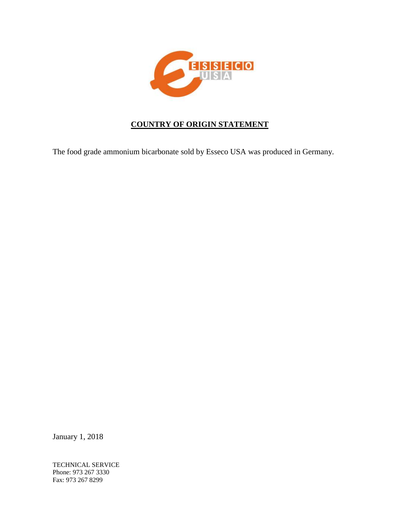

# **COUNTRY OF ORIGIN STATEMENT**

The food grade ammonium bicarbonate sold by Esseco USA was produced in Germany.

January 1, 2018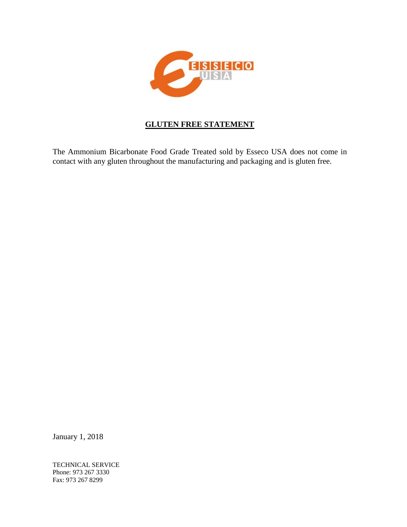

# **GLUTEN FREE STATEMENT**

The Ammonium Bicarbonate Food Grade Treated sold by Esseco USA does not come in contact with any gluten throughout the manufacturing and packaging and is gluten free.

January 1, 2018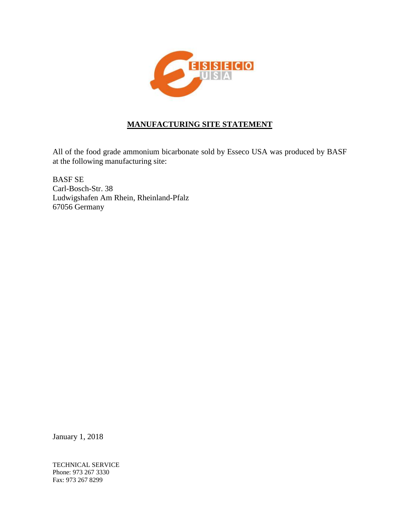

# **MANUFACTURING SITE STATEMENT**

All of the food grade ammonium bicarbonate sold by Esseco USA was produced by BASF at the following manufacturing site:

BASF SE Carl-Bosch-Str. 38 Ludwigshafen Am Rhein, Rheinland-Pfalz 67056 Germany

January 1, 2018